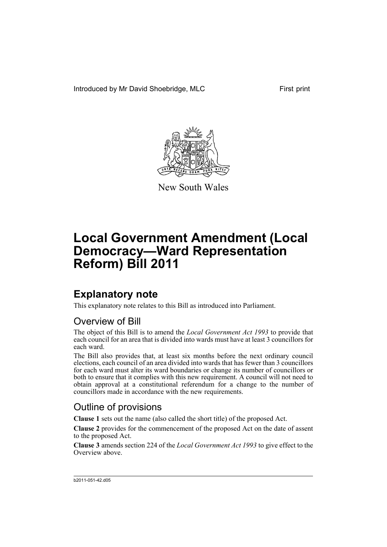Introduced by Mr David Shoebridge, MLC First print



New South Wales

# **Local Government Amendment (Local Democracy—Ward Representation Reform) Bill 2011**

## **Explanatory note**

This explanatory note relates to this Bill as introduced into Parliament.

#### Overview of Bill

The object of this Bill is to amend the *Local Government Act 1993* to provide that each council for an area that is divided into wards must have at least 3 councillors for each ward.

The Bill also provides that, at least six months before the next ordinary council elections, each council of an area divided into wards that has fewer than 3 councillors for each ward must alter its ward boundaries or change its number of councillors or both to ensure that it complies with this new requirement. A council will not need to obtain approval at a constitutional referendum for a change to the number of councillors made in accordance with the new requirements.

#### Outline of provisions

**Clause 1** sets out the name (also called the short title) of the proposed Act.

**Clause 2** provides for the commencement of the proposed Act on the date of assent to the proposed Act.

**Clause 3** amends section 224 of the *Local Government Act 1993* to give effect to the Overview above.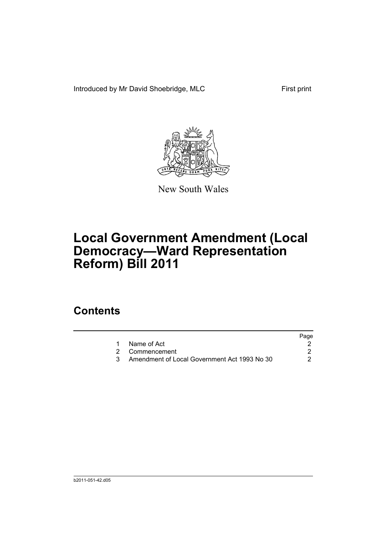Introduced by Mr David Shoebridge, MLC First print



New South Wales

# **Local Government Amendment (Local Democracy—Ward Representation Reform) Bill 2011**

### **Contents**

|                                              | Page |
|----------------------------------------------|------|
| 1 Name of Act                                |      |
| 2 Commencement                               |      |
| Amendment of Local Government Act 1993 No 30 |      |
|                                              |      |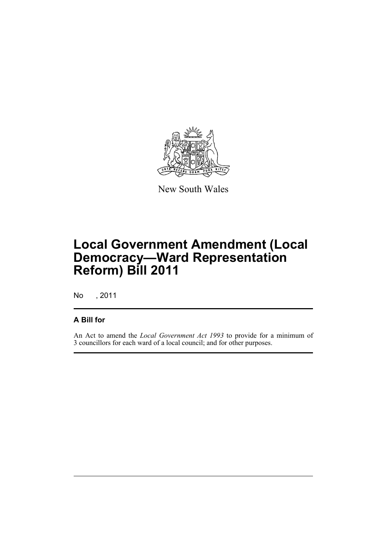

New South Wales

## **Local Government Amendment (Local Democracy—Ward Representation Reform) Bill 2011**

No , 2011

#### **A Bill for**

An Act to amend the *Local Government Act 1993* to provide for a minimum of 3 councillors for each ward of a local council; and for other purposes.